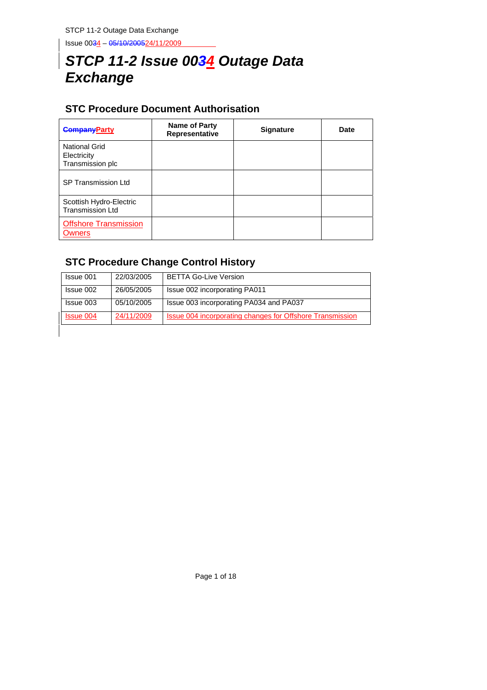Issue 0034 – 05/10/200524/11/2009

# *STCP 11-2 Issue 0034 Outage Data Exchange*

# **STC Procedure Document Authorisation**

| <b>CompanyParty</b>                                     | Name of Party<br>Representative | <b>Signature</b> | Date |
|---------------------------------------------------------|---------------------------------|------------------|------|
| <b>National Grid</b><br>Electricity<br>Transmission plc |                                 |                  |      |
| <b>SP Transmission Ltd</b>                              |                                 |                  |      |
| Scottish Hydro-Electric<br><b>Transmission Ltd</b>      |                                 |                  |      |
| <b>Offshore Transmission</b><br><b>Owners</b>           |                                 |                  |      |

# **STC Procedure Change Control History**

| Issue 001        | 22/03/2005 | <b>BETTA Go-Live Version</b>                              |
|------------------|------------|-----------------------------------------------------------|
| Issue 002        | 26/05/2005 | Issue 002 incorporating PA011                             |
| Issue 003        | 05/10/2005 | Issue 003 incorporating PA034 and PA037                   |
| <b>Issue 004</b> | 24/11/2009 | Issue 004 incorporating changes for Offshore Transmission |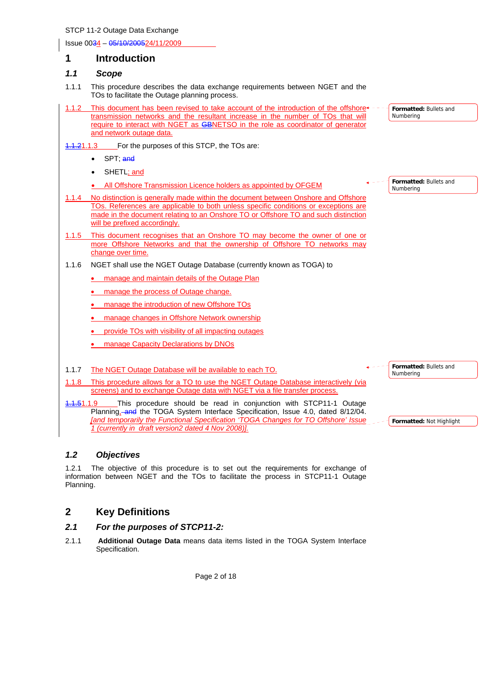Issue 0034 – 05/10/200524/11/2009

### **1 Introduction**

### *1.1 Scope*

- 1.1.1 This procedure describes the data exchange requirements between NGET and the TOs to facilitate the Outage planning process.
- This document has been revised to take account of the introduction of the offshore $\triangleleft$ transmission networks and the resultant increase in the number of TOs that will require to interact with NGET as GBNETSO in the role as coordinator of generator and network outage data.
- 1.1.21.1.3 For the purposes of this STCP, the TOs are:
	- SPT; and
	- SHETL; and
	- All Offshore Transmission Licence holders as appointed by OFGEM
- No distinction is generally made within the document between Onshore and Offshore TOs. References are applicable to both unless specific conditions or exceptions are made in the document relating to an Onshore TO or Offshore TO and such distinction will be prefixed accordingly.
- 1.1.5 This document recognises that an Onshore TO may become the owner of one or more Offshore Networks and that the ownership of Offshore TO networks may change over time.
- 1.1.6 NGET shall use the NGET Outage Database (currently known as TOGA) to
	- manage and maintain details of the Outage Plan
	- manage the process of Outage change.
	- manage the introduction of new Offshore TOs
	- manage changes in Offshore Network ownership
	- provide TOs with visibility of all impacting outages
	- manage Capacity Declarations by DNOs
- 1.1.7 The NGET Outage Database will be available to each TO.
- 1.1.8 This procedure allows for a TO to use the NGET Outage Database interactively (via screens) and to exchange Outage data with NGET via a file transfer process.
- 1.1.51.1.9 This procedure should be read in conjunction with STCP11-1 Outage Planning, and the TOGA System Interface Specification, Issue 4.0, dated 8/12/04. *[and temporarily the Functional Specification 'TOGA Changes for TO Offshore' Issue 1 (currently in draft version2 dated 4 Nov 2008)].*

*1.2 Objectives* 

1.2.1 The objective of this procedure is to set out the requirements for exchange of information between NGET and the TOs to facilitate the process in STCP11-1 Outage Planning.

# **2 Key Definitions**

### *2.1 For the purposes of STCP11-2:*

2.1.1 **Additional Outage Data** means data items listed in the TOGA System Interface Specification.

Page 2 of 18

**Formatted:** Bullets and Numbering

**Formatted:** Bullets and

Numbering

**Formatted:** Bullets and Numbering

**Formatted:** Not Highlight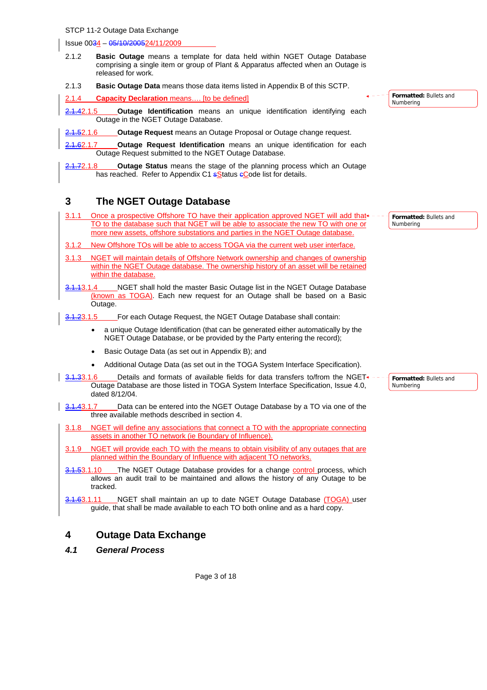#### Issue 0034 – 05/10/200524/11/2009

- 2.1.2 **Basic Outage** means a template for data held within NGET Outage Database comprising a single item or group of Plant & Apparatus affected when an Outage is released for work.
- 2.1.3 **Basic Outage Data** means those data items listed in Appendix B of this SCTP.

#### 2.1.4 **Capacity Declaration** means…. [to be defined]

- 2.1.42.1.5 **Outage Identification** means an unique identification identifying each Outage in the NGET Outage Database.
- 2.1.52.1.6 **Outage Request** means an Outage Proposal or Outage change request.
- 2.1.62.1.7 **Outage Request Identification** means an unique identification for each Outage Request submitted to the NGET Outage Database.
- 2.1.72.1.8 **Outage Status** means the stage of the planning process which an Outage has reached. Refer to Appendix C1 sStatus eCode list for details.

### **3 The NGET Outage Database**

- 3.1.1 Once a prospective Offshore TO have their application approved NGET will add that TO to the database such that NGET will be able to associate the new TO with one or more new assets, offshore substations and parties in the NGET Outage database. **Formatted:** Bullets and Numbering
- 3.1.2 New Offshore TOs will be able to access TOGA via the current web user interface.
- NGET will maintain details of Offshore Network ownership and changes of ownership within the NGET Outage database. The ownership history of an asset will be retained within the databas
- 3.1.13.1.4 NGET shall hold the master Basic Outage list in the NGET Outage Database (known as TOGA). Each new request for an Outage shall be based on a Basic Outage.
- 3.1.23.1.5 For each Outage Request, the NGET Outage Database shall contain:
	- a unique Outage Identification (that can be generated either automatically by the NGET Outage Database, or be provided by the Party entering the record);
	- Basic Outage Data (as set out in Appendix B); and
	- Additional Outage Data (as set out in the TOGA System Interface Specification).
- $3.1.33.1.6$  Details and formats of available fields for data transfers to/from the NGET Outage Database are those listed in TOGA System Interface Specification, Issue 4.0, dated 8/12/04.
- 3.1.43.1.7 Data can be entered into the NGET Outage Database by a TO via one of the three available methods described in section 4.
- 3.1.8 NGET will define any associations that connect a TO with the appropriate connecting assets in another TO network (ie Boundary of Influence).
- 3.1.9 NGET will provide each TO with the means to obtain visibility of any outages that are planned within the Boundary of Influence with adjacent TO networks.
- 3.1.53.1.10 The NGET Outage Database provides for a change control process, which allows an audit trail to be maintained and allows the history of any Outage to be tracked.
- 3.1.63.1.11 NGET shall maintain an up to date NGET Outage Database (TOGA) user guide, that shall be made available to each TO both online and as a hard copy.

# **4 Outage Data Exchange**

*4.1 General Process* 

**Formatted:** Bullets and

Numbering

**Formatted:** Bullets and

Numbering

Page 3 of 18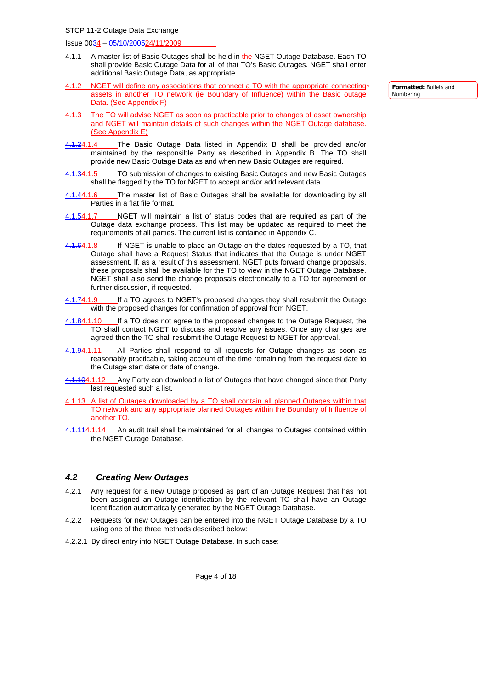Issue 0034 – 05/10/200524/11/2009

- 4.1.1 A master list of Basic Outages shall be held in the NGET Outage Database. Each TO shall provide Basic Outage Data for all of that TO's Basic Outages. NGET shall enter additional Basic Outage Data, as appropriate.
- NGET will define any associations that connect a TO with the appropriate connecting assets in another TO network (ie Boundary of Influence) within the Basic outage Data. (See Appendix F)
- 4.1.3 The TO will advise NGET as soon as practicable prior to changes of asset ownership and NGET will maintain details of such changes within the NGET Outage database. (See Appendix E)
- 4.1.24.1.4 The Basic Outage Data listed in Appendix B shall be provided and/or maintained by the responsible Party as described in Appendix B. The TO shall provide new Basic Outage Data as and when new Basic Outages are required.
- TO submission of changes to existing Basic Outages and new Basic Outages shall be flagged by the TO for NGET to accept and/or add relevant data.
- 4.44.1.6 The master list of Basic Outages shall be available for downloading by all Parties in a flat file format.
- 4.1.54.1.7 NGET will maintain a list of status codes that are required as part of the Outage data exchange process. This list may be updated as required to meet the requirements of all parties. The current list is contained in Appendix C.
- $\frac{4.1.64.1.8}{4.1.64.1.8}$  If NGET is unable to place an Outage on the dates requested by a TO, that Outage shall have a Request Status that indicates that the Outage is under NGET assessment. If, as a result of this assessment, NGET puts forward change proposals, these proposals shall be available for the TO to view in the NGET Outage Database. NGET shall also send the change proposals electronically to a TO for agreement or further discussion, if requested.
- $\frac{4.1.74.1.9}{\sqrt{1.74.1}}$  If a TO agrees to NGET's proposed changes they shall resubmit the Outage with the proposed changes for confirmation of approval from NGET.
- 4.84.1.10 If a TO does not agree to the proposed changes to the Outage Request, the TO shall contact NGET to discuss and resolve any issues. Once any changes are agreed then the TO shall resubmit the Outage Request to NGET for approval.
- 4.1.94.1.11 All Parties shall respond to all requests for Outage changes as soon as reasonably practicable, taking account of the time remaining from the request date to the Outage start date or date of change.
- $\frac{4.1.104.1.12}{\pm}$  Any Party can download a list of Outages that have changed since that Party last requested such a list.
	- 4.1.13 A list of Outages downloaded by a TO shall contain all planned Outages within that TO network and any appropriate planned Outages within the Boundary of Influence of another TO.
	- 4.1.114.1.14 An audit trail shall be maintained for all changes to Outages contained within the NGET Outage Database.

#### *4.2 Creating New Outages*

- 4.2.1 Any request for a new Outage proposed as part of an Outage Request that has not been assigned an Outage identification by the relevant TO shall have an Outage Identification automatically generated by the NGET Outage Database.
- 4.2.2 Requests for new Outages can be entered into the NGET Outage Database by a TO using one of the three methods described below:
- 4.2.2.1 By direct entry into NGET Outage Database. In such case:

**Formatted:** Bullets and Numbering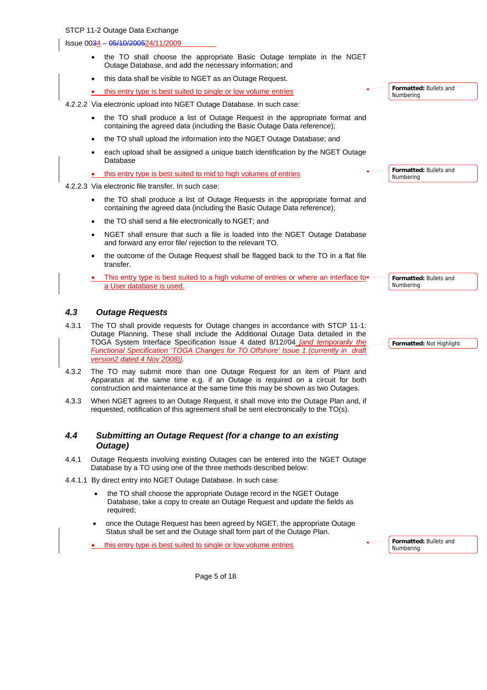Issue 0034 – 05/10/200524/11/2009

- the TO shall choose the appropriate Basic Outage template in the NGET Outage Database, and add the necessary information; and
- this data shall be visible to NGET as an Outage Request.
- this entry type is best suited to single or low volume entries

4.2.2.2 Via electronic upload into NGET Outage Database. In such case:

- the TO shall produce a list of Outage Request in the appropriate format and containing the agreed data (including the Basic Outage Data reference);
- the TO shall upload the information into the NGET Outage Database; and
- each upload shall be assigned a unique batch identification by the NGET Outage Database

| this entry type is best suited to mid to high volumes of entries |
|------------------------------------------------------------------|
|------------------------------------------------------------------|

- 4.2.2.3 Via electronic file transfer. In such case:
	- the TO shall produce a list of Outage Requests in the appropriate format and containing the agreed data (including the Basic Outage Data reference);
	- the TO shall send a file electronically to NGET; and
	- NGET shall ensure that such a file is loaded into the NGET Outage Database and forward any error file/ rejection to the relevant TO.
	- the outcome of the Outage Request shall be flagged back to the TO in a flat file transfer.
	- This entry type is best suited to a high volume of entries or where an interface to a User database is used. **Formatted:** Bullets and Numbering

### *4.3 Outage Requests*

- 4.3.1 The TO shall provide requests for Outage changes in accordance with STCP 11-1: Outage Planning. These shall include the Additional Outage Data detailed in the TOGA System Interface Specification Issue 4 dated 8/12//04 *[and temporarily the Functional Specification 'TOGA Changes for TO Offshore' Issue 1 (currently in draft version2 dated 4 Nov 2008)]*.
- 4.3.2 The TO may submit more than one Outage Request for an item of Plant and Apparatus at the same time e.g. if an Outage is required on a circuit for both construction and maintenance at the same time this may be shown as two Outages.
- 4.3.3 When NGET agrees to an Outage Request, it shall move into the Outage Plan and, if requested, notification of this agreement shall be sent electronically to the TO(s).

### *4.4 Submitting an Outage Request (for a change to an existing Outage)*

- 4.4.1 Outage Requests involving existing Outages can be entered into the NGET Outage Database by a TO using one of the three methods described below:
- 4.4.1.1 By direct entry into NGET Outage Database. In such case:
	- the TO shall choose the appropriate Outage record in the NGET Outage Database, take a copy to create an Outage Request and update the fields as required;
	- once the Outage Request has been agreed by NGET, the appropriate Outage Status shall be set and the Outage shall form part of the Outage Plan.

this entry type is best suited to single or low volume entries

**Formatted:** Bullets and Numbering

**Formatted:** Bullets and

**Formatted:** Bullets and

**Formatted:** Not Highlight

Numbering

Numbering

Page 5 of 18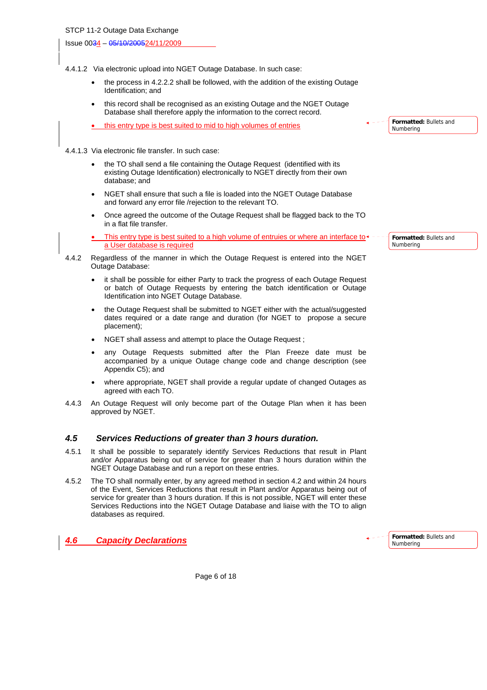Issue 0034 – 05/10/200524/11/2009

4.4.1.2 Via electronic upload into NGET Outage Database. In such case:

- the process in 4.2.2.2 shall be followed, with the addition of the existing Outage Identification; and
- this record shall be recognised as an existing Outage and the NGET Outage Database shall therefore apply the information to the correct record.
- this entry type is best suited to mid to high volumes of entries
- 4.4.1.3 Via electronic file transfer. In such case:
	- the TO shall send a file containing the Outage Request (identified with its existing Outage Identification) electronically to NGET directly from their own database; and
	- NGET shall ensure that such a file is loaded into the NGET Outage Database and forward any error file /rejection to the relevant TO.
	- Once agreed the outcome of the Outage Request shall be flagged back to the TO in a flat file transfer.
	- This entry type is best suited to a high volume of entruies or where an interface to $\triangleleft$ a User database is required
- 4.4.2 Regardless of the manner in which the Outage Request is entered into the NGET Outage Database:
	- it shall be possible for either Party to track the progress of each Outage Request or batch of Outage Requests by entering the batch identification or Outage Identification into NGET Outage Database.
	- the Outage Request shall be submitted to NGET either with the actual/suggested dates required or a date range and duration (for NGET to propose a secure placement);
	- NGET shall assess and attempt to place the Outage Request ;
	- any Outage Requests submitted after the Plan Freeze date must be accompanied by a unique Outage change code and change description (see Appendix C5); and
	- where appropriate, NGET shall provide a regular update of changed Outages as agreed with each TO.
- 4.4.3 An Outage Request will only become part of the Outage Plan when it has been approved by NGET.

### *4.5 Services Reductions of greater than 3 hours duration.*

- 4.5.1 It shall be possible to separately identify Services Reductions that result in Plant and/or Apparatus being out of service for greater than 3 hours duration within the NGET Outage Database and run a report on these entries.
- 4.5.2 The TO shall normally enter, by any agreed method in section 4.2 and within 24 hours of the Event, Services Reductions that result in Plant and/or Apparatus being out of service for greater than 3 hours duration. If this is not possible, NGET will enter these Services Reductions into the NGET Outage Database and liaise with the TO to align databases as required.

*4.6 Capacity Declarations*

**Formatted:** Bullets and Numbering

**Formatted:** Bullets and Numbering

Page 6 of 18

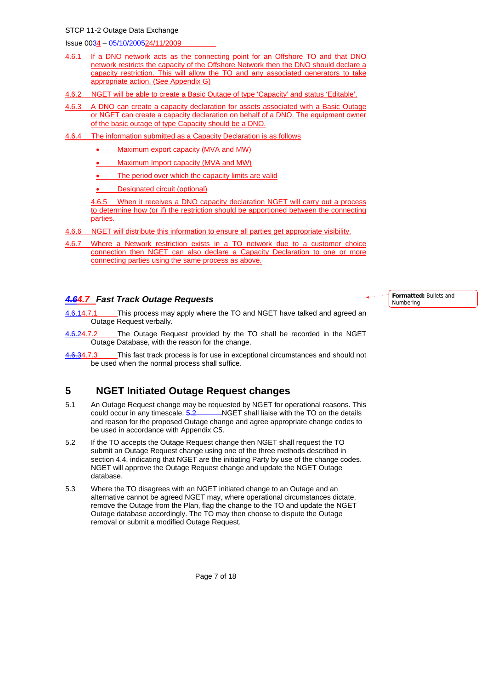Issue 0034 – 05/10/200524/11/2009

- 4.6.1 If a DNO network acts as the connecting point for an Offshore TO and that DNO network restricts the capacity of the Offshore Network then the DNO should declare a capacity restriction. This will allow the TO and any associated generators to take appropriate action. (See Appendix G)
- 4.6.2 NGET will be able to create a Basic Outage of type 'Capacity' and status 'Editable'.
- 4.6.3 A DNO can create a capacity declaration for assets associated with a Basic Outage or NGET can create a capacity declaration on behalf of a DNO. The equipment owner of the basic outage of type Capacity should be a DNO.
- 4.6.4 The information submitted as a Capacity Declaration is as follows
	- Maximum export capacity (MVA and MW)
	- Maximum Import capacity (MVA and MW)
	- The period over which the capacity limits are valid
	- Designated circuit (optional)

4.6.5 When it receives a DNO capacity declaration NGET will carry out a process to determine how (or if) the restriction should be apportioned between the connecting parties.

- 4.6.6 NGET will distribute this information to ensure all parties get appropriate visibility.
- 4.6.7 Where a Network restriction exists in a TO network due to a customer choice connection then NGET can also declare a Capacity Declaration to one or more connecting parties using the same process as above.

### *4.64.7 Fast Track Outage Requests*

- 4.6.14.7.1 This process may apply where the TO and NGET have talked and agreed an Outage Request verbally.
- 4.6.24.7.2 The Outage Request provided by the TO shall be recorded in the NGET Outage Database, with the reason for the change.
- $\frac{4.6.34.7.3}{4.6.34.7.3}$  This fast track process is for use in exceptional circumstances and should not be used when the normal process shall suffice.

# **5 NGET Initiated Outage Request changes**

- 5.1 An Outage Request change may be requested by NGET for operational reasons. This could occur in any timescale.  $\frac{5.2}{2}$  NGET shall liaise with the TO on the details and reason for the proposed Outage change and agree appropriate change codes to be used in accordance with Appendix C5.
- 5.2 If the TO accepts the Outage Request change then NGET shall request the TO submit an Outage Request change using one of the three methods described in section 4.4, indicating that NGET are the initiating Party by use of the change codes. NGET will approve the Outage Request change and update the NGET Outage database.
- 5.3 Where the TO disagrees with an NGET initiated change to an Outage and an alternative cannot be agreed NGET may, where operational circumstances dictate, remove the Outage from the Plan, flag the change to the TO and update the NGET Outage database accordingly. The TO may then choose to dispute the Outage removal or submit a modified Outage Request.

Numbering

**Formatted:** Bullets and

Page 7 of 18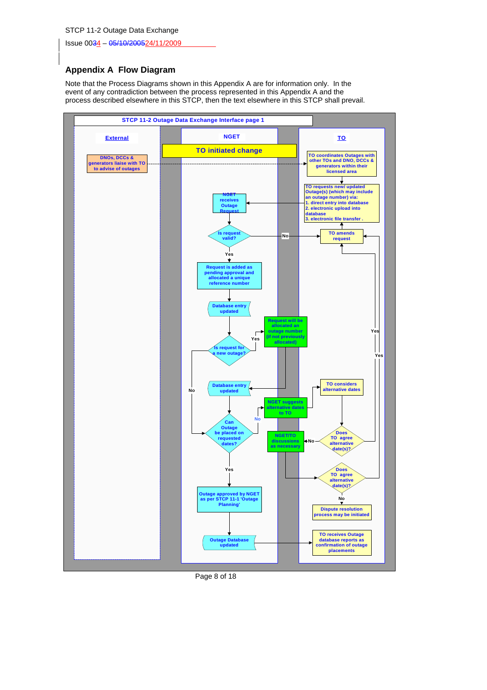Issue 0034 – 05/10/200524/11/2009

### **Appendix A Flow Diagram**

Note that the Process Diagrams shown in this Appendix A are for information only. In the event of any contradiction between the process represented in this Appendix A and the process described elsewhere in this STCP, then the text elsewhere in this STCP shall prevail.



Page 8 of 18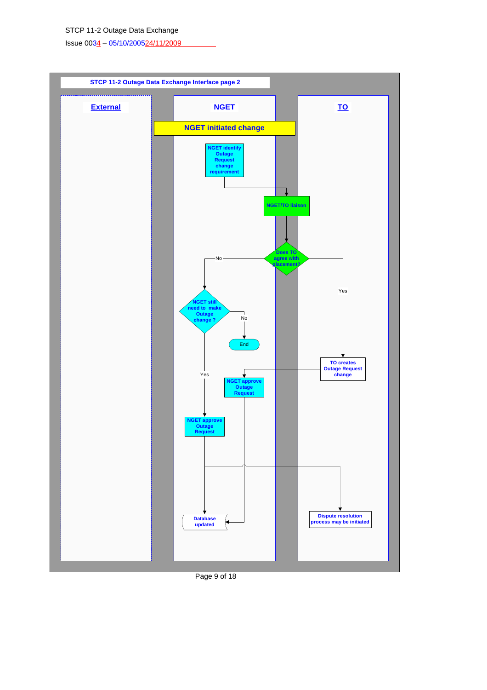Issue 0034 – 05/10/200524/11/2009



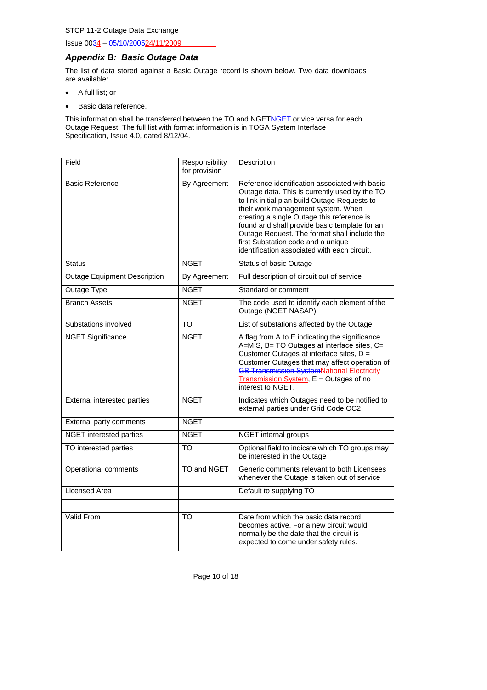Issue 0034 – 05/10/200524/11/2009

### *Appendix B: Basic Outage Data*

The list of data stored against a Basic Outage record is shown below. Two data downloads are available:

- A full list; or
- Basic data reference.

This information shall be transferred between the TO and NGETNGET or vice versa for each Outage Request. The full list with format information is in TOGA System Interface Specification, Issue 4.0, dated 8/12/04.

| Field                               | Responsibility<br>for provision | Description                                                                                                                                                                                                                                                                                                                                                                                                                 |
|-------------------------------------|---------------------------------|-----------------------------------------------------------------------------------------------------------------------------------------------------------------------------------------------------------------------------------------------------------------------------------------------------------------------------------------------------------------------------------------------------------------------------|
| <b>Basic Reference</b>              | By Agreement                    | Reference identification associated with basic<br>Outage data. This is currently used by the TO<br>to link initial plan build Outage Requests to<br>their work management system. When<br>creating a single Outage this reference is<br>found and shall provide basic template for an<br>Outage Request. The format shall include the<br>first Substation code and a unique<br>identification associated with each circuit. |
| <b>Status</b>                       | <b>NGET</b>                     | <b>Status of basic Outage</b>                                                                                                                                                                                                                                                                                                                                                                                               |
| <b>Outage Equipment Description</b> | By Agreement                    | Full description of circuit out of service                                                                                                                                                                                                                                                                                                                                                                                  |
| Outage Type                         | <b>NGET</b>                     | Standard or comment                                                                                                                                                                                                                                                                                                                                                                                                         |
| <b>Branch Assets</b>                | <b>NGET</b>                     | The code used to identify each element of the<br>Outage (NGET NASAP)                                                                                                                                                                                                                                                                                                                                                        |
| Substations involved                | $\overline{10}$                 | List of substations affected by the Outage                                                                                                                                                                                                                                                                                                                                                                                  |
| <b>NGET Significance</b>            | <b>NGET</b>                     | A flag from A to E indicating the significance.<br>A=MIS, B= TO Outages at interface sites, C=<br>Customer Outages at interface sites, D =<br>Customer Outages that may affect operation of<br><b>GB Transmission SystemNational Electricity</b><br>Transmission System, E = Outages of no<br>interest to NGET.                                                                                                             |
| <b>External interested parties</b>  | <b>NGET</b>                     | Indicates which Outages need to be notified to<br>external parties under Grid Code OC2                                                                                                                                                                                                                                                                                                                                      |
| <b>External party comments</b>      | <b>NGET</b>                     |                                                                                                                                                                                                                                                                                                                                                                                                                             |
| NGET interested parties             | <b>NGET</b>                     | NGET internal groups                                                                                                                                                                                                                                                                                                                                                                                                        |
| TO interested parties               | $\overline{\text{TO}}$          | Optional field to indicate which TO groups may<br>be interested in the Outage                                                                                                                                                                                                                                                                                                                                               |
| Operational comments                | TO and NGET                     | Generic comments relevant to both Licensees<br>whenever the Outage is taken out of service                                                                                                                                                                                                                                                                                                                                  |
| Licensed Area                       |                                 | Default to supplying TO                                                                                                                                                                                                                                                                                                                                                                                                     |
|                                     |                                 |                                                                                                                                                                                                                                                                                                                                                                                                                             |
| Valid From                          | TO                              | Date from which the basic data record<br>becomes active. For a new circuit would<br>normally be the date that the circuit is<br>expected to come under safety rules.                                                                                                                                                                                                                                                        |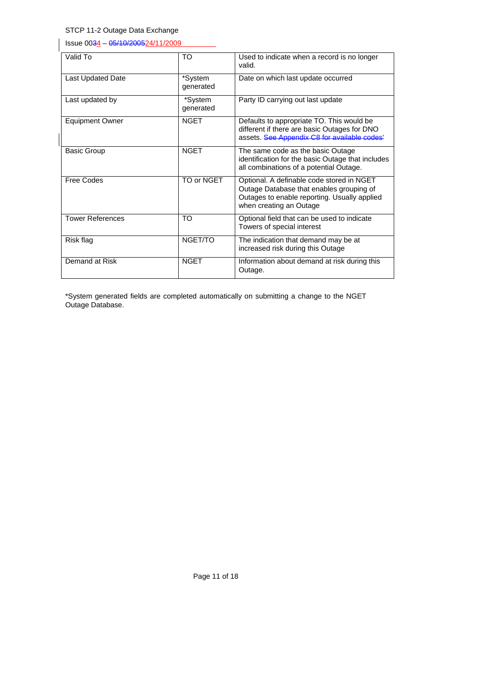Issue 0034 – 05/10/200524/11/2009

| Valid To                 | TO                   | Used to indicate when a record is no longer<br>valid.                                                                                                            |
|--------------------------|----------------------|------------------------------------------------------------------------------------------------------------------------------------------------------------------|
| <b>Last Updated Date</b> | *System<br>generated | Date on which last update occurred                                                                                                                               |
| Last updated by          | *System<br>generated | Party ID carrying out last update                                                                                                                                |
| <b>Equipment Owner</b>   | <b>NGET</b>          | Defaults to appropriate TO. This would be<br>different if there are basic Outages for DNO<br>assets. See Appendix C8 for available codes'                        |
| <b>Basic Group</b>       | <b>NGET</b>          | The same code as the basic Outage<br>identification for the basic Outage that includes<br>all combinations of a potential Outage.                                |
| Free Codes               | TO or NGET           | Optional. A definable code stored in NGET<br>Outage Database that enables grouping of<br>Outages to enable reporting. Usually applied<br>when creating an Outage |
| <b>Tower References</b>  | TO                   | Optional field that can be used to indicate<br>Towers of special interest                                                                                        |
| Risk flag                | NGET/TO              | The indication that demand may be at<br>increased risk during this Outage                                                                                        |
| Demand at Risk           | <b>NGET</b>          | Information about demand at risk during this<br>Outage.                                                                                                          |

\*System generated fields are completed automatically on submitting a change to the NGET Outage Database.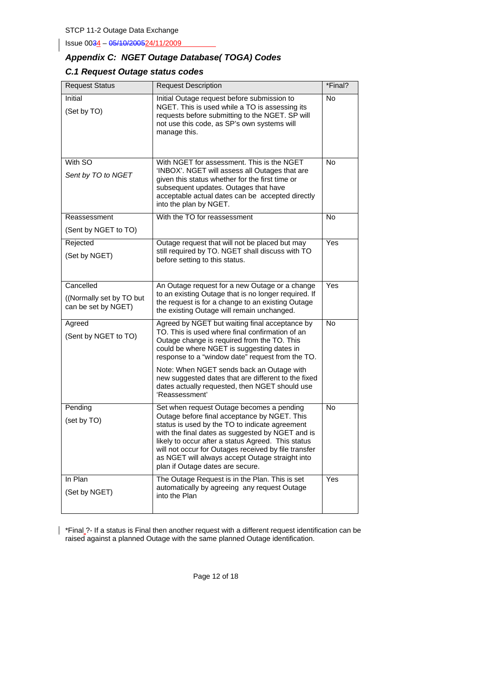Issue 0034 – 05/10/200524/11/2009

# *Appendix C: NGET Outage Database( TOGA) Codes*

### *C.1 Request Outage status codes*

| <b>Request Status</b>                                         | <b>Request Description</b>                                                                                                                                                                                                                                                                                                                                                                                                 | *Final?   |
|---------------------------------------------------------------|----------------------------------------------------------------------------------------------------------------------------------------------------------------------------------------------------------------------------------------------------------------------------------------------------------------------------------------------------------------------------------------------------------------------------|-----------|
| Initial<br>(Set by TO)                                        | Initial Outage request before submission to<br>NGET. This is used while a TO is assessing its<br>requests before submitting to the NGET. SP will<br>not use this code, as SP's own systems will<br>manage this.                                                                                                                                                                                                            | <b>No</b> |
| With SO<br>Sent by TO to NGET                                 | With NGET for assessment. This is the NGET<br>'INBOX'. NGET will assess all Outages that are<br>given this status whether for the first time or<br>subsequent updates. Outages that have<br>acceptable actual dates can be accepted directly<br>into the plan by NGET.                                                                                                                                                     | <b>No</b> |
| Reassessment                                                  | With the TO for reassessment                                                                                                                                                                                                                                                                                                                                                                                               | <b>No</b> |
| (Sent by NGET to TO)                                          |                                                                                                                                                                                                                                                                                                                                                                                                                            |           |
| Rejected<br>(Set by NGET)                                     | Outage request that will not be placed but may<br>still required by TO. NGET shall discuss with TO<br>before setting to this status.                                                                                                                                                                                                                                                                                       | Yes       |
| Cancelled<br>((Normally set by TO but)<br>can be set by NGET) | An Outage request for a new Outage or a change<br>to an existing Outage that is no longer required. If<br>the request is for a change to an existing Outage<br>the existing Outage will remain unchanged.                                                                                                                                                                                                                  | Yes       |
| Agreed<br>(Sent by NGET to TO)                                | Agreed by NGET but waiting final acceptance by<br>TO. This is used where final confirmation of an<br>Outage change is required from the TO. This<br>could be where NGET is suggesting dates in<br>response to a "window date" request from the TO.<br>Note: When NGET sends back an Outage with<br>new suggested dates that are different to the fixed<br>dates actually requested, then NGET should use<br>'Reassessment' | <b>No</b> |
| Pending<br>(set by TO)                                        | Set when request Outage becomes a pending<br>Outage before final acceptance by NGET. This<br>status is used by the TO to indicate agreement<br>with the final dates as suggested by NGET and is<br>likely to occur after a status Agreed. This status<br>will not occur for Outages received by file transfer<br>as NGET will always accept Outage straight into<br>plan if Outage dates are secure.                       | No        |
| In Plan<br>(Set by NGET)                                      | The Outage Request is in the Plan. This is set<br>automatically by agreeing any request Outage<br>into the Plan                                                                                                                                                                                                                                                                                                            | Yes       |

\*Final ?- If a status is Final then another request with a different request identification can be raised against a planned Outage with the same planned Outage identification.

Page 12 of 18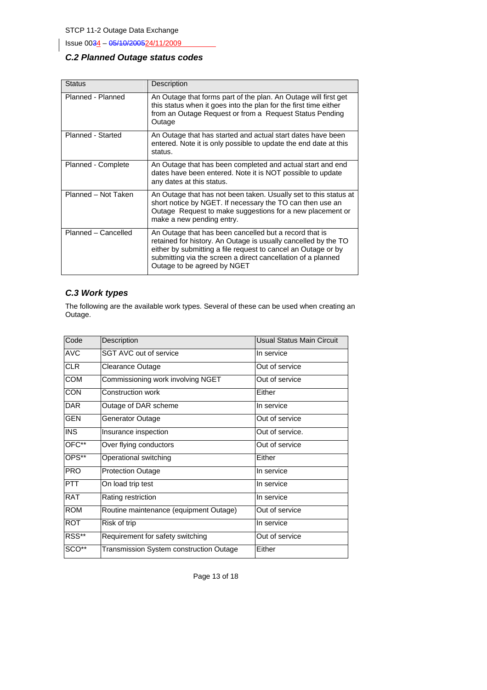Issue 0034 - 05/10/200524/11/2009

### *C.2 Planned Outage status codes*

| <b>Status</b>       | Description                                                                                                                                                                                                                                                                              |
|---------------------|------------------------------------------------------------------------------------------------------------------------------------------------------------------------------------------------------------------------------------------------------------------------------------------|
| Planned - Planned   | An Outage that forms part of the plan. An Outage will first get<br>this status when it goes into the plan for the first time either<br>from an Outage Request or from a Request Status Pending<br>Outage                                                                                 |
| Planned - Started   | An Outage that has started and actual start dates have been<br>entered. Note it is only possible to update the end date at this<br>status.                                                                                                                                               |
| Planned - Complete  | An Outage that has been completed and actual start and end<br>dates have been entered. Note it is NOT possible to update<br>any dates at this status.                                                                                                                                    |
| Planned - Not Taken | An Outage that has not been taken. Usually set to this status at<br>short notice by NGET. If necessary the TO can then use an<br>Outage Request to make suggestions for a new placement or<br>make a new pending entry.                                                                  |
| Planned - Cancelled | An Outage that has been cancelled but a record that is<br>retained for history. An Outage is usually cancelled by the TO<br>either by submitting a file request to cancel an Outage or by<br>submitting via the screen a direct cancellation of a planned<br>Outage to be agreed by NGET |

### *C.3 Work types*

The following are the available work types. Several of these can be used when creating an Outage.

| Code             | Description                             | Usual Status Main Circuit |
|------------------|-----------------------------------------|---------------------------|
| <b>AVC</b>       | SGT AVC out of service                  | In service                |
| <b>CLR</b>       | Clearance Outage                        | Out of service            |
| COM              | Commissioning work involving NGET       | Out of service            |
| $\overline{CON}$ | Construction work                       | Either                    |
| <b>DAR</b>       | Outage of DAR scheme                    | In service                |
| <b>GEN</b>       | Generator Outage                        | Out of service            |
| <b>INS</b>       | Insurance inspection                    | Out of service.           |
| $OFC***$         | Over flying conductors                  | Out of service            |
| OPS**            | Operational switching                   | Either                    |
| <b>PRO</b>       | <b>Protection Outage</b>                | In service                |
| <b>PTT</b>       | On load trip test                       | In service                |
| <b>RAT</b>       | Rating restriction                      | In service                |
| <b>ROM</b>       | Routine maintenance (equipment Outage)  | Out of service            |
| <b>ROT</b>       | Risk of trip                            | In service                |
| RSS**            | Requirement for safety switching        | Out of service            |
| SCO**            | Transmission System construction Outage | Either                    |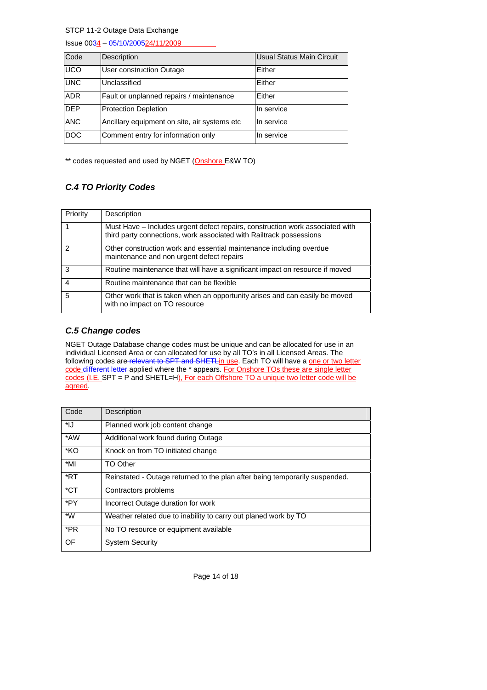Issue 0034 – 05/10/200524/11/2009

| Code       | Description                                  | Usual Status Main Circuit |
|------------|----------------------------------------------|---------------------------|
| <b>UCO</b> | User construction Outage                     | Either                    |
| <b>UNC</b> | Unclassified                                 | Either                    |
| <b>ADR</b> | Fault or unplanned repairs / maintenance     | Either                    |
| <b>DEP</b> | <b>Protection Depletion</b>                  | In service                |
| <b>ANC</b> | Ancillary equipment on site, air systems etc | In service                |
| <b>DOC</b> | Comment entry for information only           | In service                |

\*\* codes requested and used by NGET (Onshore E&W TO)

# *C.4 TO Priority Codes*

| Priority      | Description                                                                                                                                          |
|---------------|------------------------------------------------------------------------------------------------------------------------------------------------------|
|               | Must Have – Includes urgent defect repairs, construction work associated with<br>third party connections, work associated with Railtrack possessions |
| $\mathcal{P}$ | Other construction work and essential maintenance including overdue<br>maintenance and non urgent defect repairs                                     |
| 3             | Routine maintenance that will have a significant impact on resource if moved                                                                         |
| 4             | Routine maintenance that can be flexible                                                                                                             |
| 5             | Other work that is taken when an opportunity arises and can easily be moved<br>with no impact on TO resource                                         |

### *C.5 Change codes*

NGET Outage Database change codes must be unique and can be allocated for use in an individual Licensed Area or can allocated for use by all TO's in all Licensed Areas. The following codes are relevant to SPT and SHETLin use. Each TO will have a one or two letter code different letter applied where the \* appears. For Onshore TOs these are single letter codes (I.E. SPT = P and SHETL=H), For each Offshore TO a unique two letter code will be agreed.

| Code   | Description                                                                 |
|--------|-----------------------------------------------------------------------------|
| *IJ    | Planned work job content change                                             |
| *AW    | Additional work found during Outage                                         |
| *KO    | Knock on from TO initiated change                                           |
| *MI    | TO Other                                                                    |
| *RT    | Reinstated - Outage returned to the plan after being temporarily suspended. |
| $*$ CT | Contractors problems                                                        |
| *PY    | Incorrect Outage duration for work                                          |
| *W     | Weather related due to inability to carry out planed work by TO             |
| *PR    | No TO resource or equipment available                                       |
| OF     | <b>System Security</b>                                                      |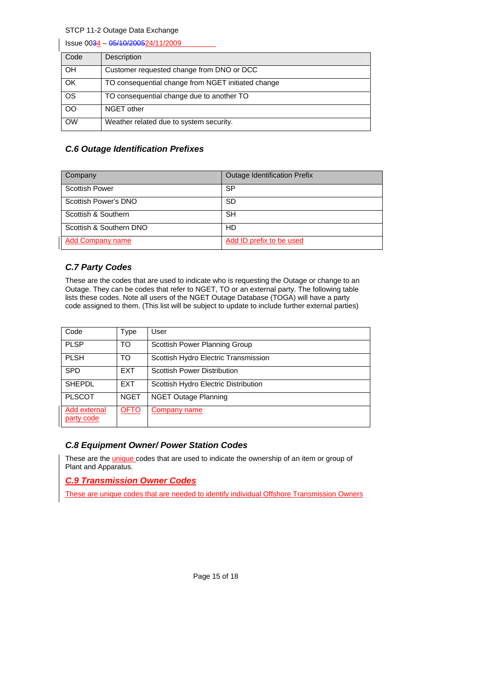| Issue 0034 - 05/10/200524/11/2009 |                                                    |  |
|-----------------------------------|----------------------------------------------------|--|
| Code                              | Description                                        |  |
| <b>OH</b>                         | Customer requested change from DNO or DCC          |  |
| OK                                | TO consequential change from NGET initiated change |  |
| <b>OS</b>                         | TO consequential change due to another TO          |  |
| <b>OO</b>                         | NGET other                                         |  |
| <b>OW</b>                         | Weather related due to system security.            |  |

### *C.6 Outage Identification Prefixes*

| Company                 | <b>Outage Identification Prefix</b> |
|-------------------------|-------------------------------------|
| <b>Scottish Power</b>   | SP                                  |
| Scottish Power's DNO    | <b>SD</b>                           |
| Scottish & Southern     | <b>SH</b>                           |
| Scottish & Southern DNO | HD                                  |
| <b>Add Company name</b> | Add ID prefix to be used            |

### *C.7 Party Codes*

These are the codes that are used to indicate who is requesting the Outage or change to an Outage. They can be codes that refer to NGET, TO or an external party. The following table lists these codes. Note all users of the NGET Outage Database (TOGA) will have a party code assigned to them. (This list will be subject to update to include further external parties)

| Code                       | Type        | User                                 |
|----------------------------|-------------|--------------------------------------|
| <b>PLSP</b>                | TO          | Scottish Power Planning Group        |
| <b>PLSH</b>                | TO          | Scottish Hydro Electric Transmission |
| <b>SPD</b>                 | <b>EXT</b>  | <b>Scottish Power Distribution</b>   |
| <b>SHEPDL</b>              | <b>EXT</b>  | Scottish Hydro Electric Distribution |
| <b>PLSCOT</b>              | <b>NGET</b> | NGET Outage Planning                 |
| Add external<br>party code | <b>OFTO</b> | Company name                         |

### *C.8 Equipment Owner/ Power Station Codes*

These are the *unique* codes that are used to indicate the ownership of an item or group of Plant and Apparatus.

*C.9 Transmission Owner Codes*

These are unique codes that are needed to identify individual Offshore Transmission Owners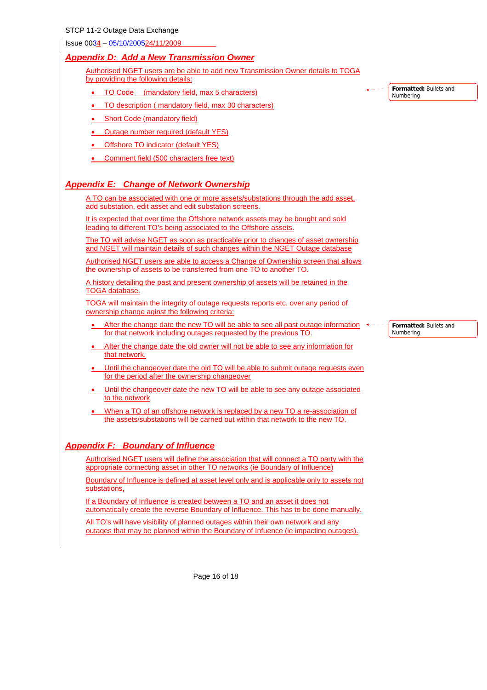Issue 0034 – 05/10/200524/11/2009

### *Appendix D: Add a New Transmission Owner*

Authorised NGET users are be able to add new Transmission Owner details to TOGA by providing the following details:

- TO Code (mandatory field, max 5 characters)
- TO description ( mandatory field, max 30 characters)
- **Short Code (mandatory field)**
- Outage number required (default YES)
- Offshore TO indicator (default YES)
- Comment field (500 characters free text)

### *Appendix E: Change of Network Ownership*

A TO can be associated with one or more assets/substations through the add asset, add substation, edit asset and edit substation screens.

It is expected that over time the Offshore network assets may be bought and sold leading to different TO's being associated to the Offshore assets.

The TO will advise NGET as soon as practicable prior to changes of asset ownership and NGET will maintain details of such changes within the NGET Outage database

Authorised NGET users are able to access a Change of Ownership screen that allows the ownership of assets to be transferred from one TO to another TO.

A history detailing the past and present ownership of assets will be retained in the TOGA database.

TOGA will maintain the integrity of outage requests reports etc. over any period of ownership change aginst the following criteria:

- After the change date the new TO will be able to see all past outage information  $\leftrightarrow$ for that network including outages requested by the previous TO.
- After the change date the old owner will not be able to see any information for that network.
- Until the changeover date the old TO will be able to submit outage requests even for the period after the ownership changeover
- Until the changeover date the new TO will be able to see any outage associated to the network
- When a TO of an offshore network is replaced by a new TO a re-association of the assets/substations will be carried out within that network to the new TO.

### *Appendix F: Boundary of Influence*

Authorised NGET users will define the association that will connect a TO party with the appropriate connecting asset in other TO networks (ie Boundary of Influence)

Boundary of Influence is defined at asset level only and is applicable only to assets not substations,

If a Boundary of Influence is created between a TO and an asset it does not automatically create the reverse Boundary of Influence. This has to be done manually.

All TO's will have visibility of planned outages within their own network and any outages that may be planned within the Boundary of Infuence (ie impacting outages). **Formatted:** Bullets and Numbering

> **Formatted:** Bullets and Numbering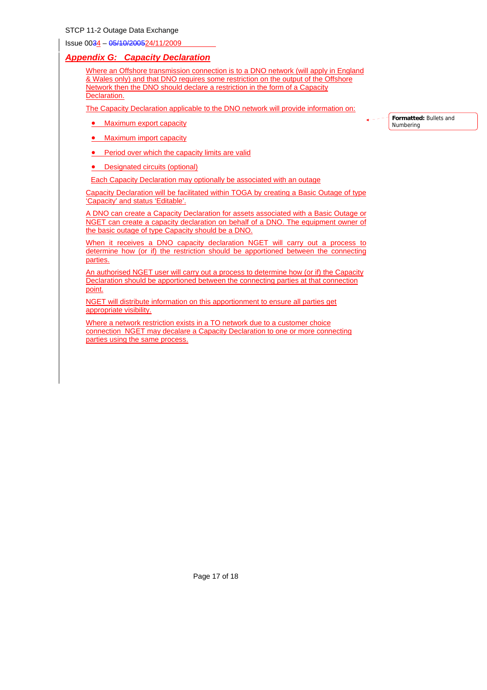Issue 0034 – 05/10/200524/11/2009

#### *Appendix G: Capacity Declaration*

Where an Offshore transmission connection is to a DNO network (will apply in England & Wales only) and that DNO requires some restriction on the output of the Offshore Network then the DNO should declare a restriction in the form of a Capacity Declaration.

The Capacity Declaration applicable to the DNO network will provide information on:

• Maximum export capacity

**Formatted:** Bullets and Numbering

- Maximum import capacity
- Period over which the capacity limits are valid
- Designated circuits (optional)

Each Capacity Declaration may optionally be associated with an outage

Capacity Declaration will be facilitated within TOGA by creating a Basic Outage of type 'Capacity' and status 'Editable'.

A DNO can create a Capacity Declaration for assets associated with a Basic Outage or NGET can create a capacity declaration on behalf of a DNO. The equipment owner of the basic outage of type Capacity should be a DNO.

When it receives a DNO capacity declaration NGET will carry out a process to determine how (or if) the restriction should be apportioned between the connecting parties.

An authorised NGET user will carry out a process to determine how (or if) the Capacity Declaration should be apportioned between the connecting parties at that connection point.

NGET will distribute information on this apportionment to ensure all parties get appropriate visibility.

Where a network restriction exists in a TO network due to a customer choice connection NGET may decalare a Capacity Declaration to one or more connecting parties using the same process.